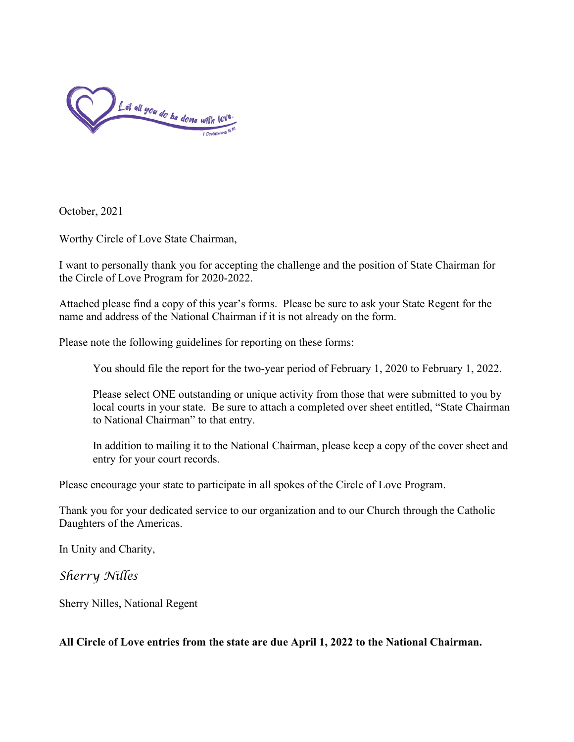

October, 2021

Worthy Circle of Love State Chairman,

I want to personally thank you for accepting the challenge and the position of State Chairman for the Circle of Love Program for 2020-2022.

Attached please find a copy of this year's forms. Please be sure to ask your State Regent for the name and address of the National Chairman if it is not already on the form.

Please note the following guidelines for reporting on these forms:

You should file the report for the two-year period of February 1, 2020 to February 1, 2022.

Please select ONE outstanding or unique activity from those that were submitted to you by local courts in your state. Be sure to attach a completed over sheet entitled, "State Chairman to National Chairman" to that entry.

In addition to mailing it to the National Chairman, please keep a copy of the cover sheet and entry for your court records.

Please encourage your state to participate in all spokes of the Circle of Love Program.

Thank you for your dedicated service to our organization and to our Church through the Catholic Daughters of the Americas.

In Unity and Charity,

*Sherry Nilles*

Sherry Nilles, National Regent

**All Circle of Love entries from the state are due April 1, 2022 to the National Chairman.**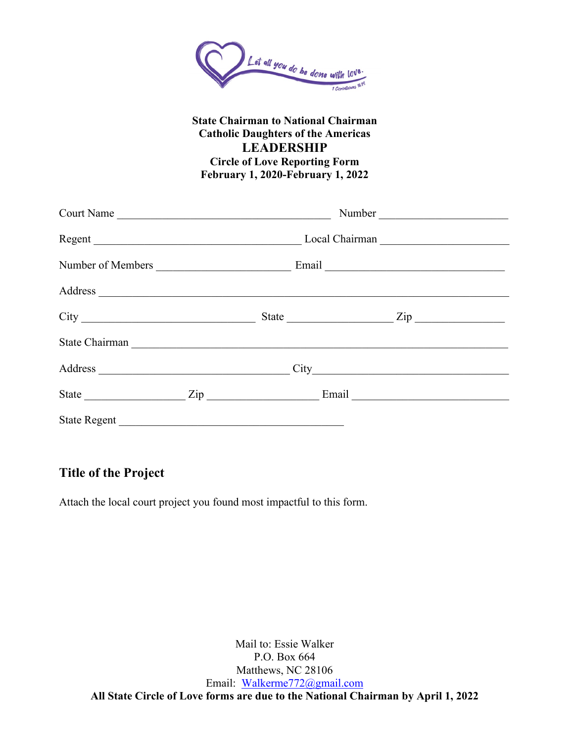

### **State Chairman to National Chairman Catholic Daughters of the Americas LEADERSHIP Circle of Love Reporting Form February 1, 2020-February 1, 2022**

| Court Name          |                          |  |       |  |  |
|---------------------|--------------------------|--|-------|--|--|
|                     | Regent<br>Local Chairman |  |       |  |  |
| Number of Members   |                          |  | Email |  |  |
|                     |                          |  |       |  |  |
|                     |                          |  |       |  |  |
|                     |                          |  |       |  |  |
| Address             |                          |  |       |  |  |
|                     |                          |  |       |  |  |
| <b>State Regent</b> |                          |  |       |  |  |

## **Title of the Project**

Attach the local court project you found most impactful to this form.

Mail to: Essie Walker P.O. Box 664 Matthews, NC 28106 Email: [Walkerme772@gmail.com](mailto:Walkerme772@gmail.com) **All State Circle of Love forms are due to the National Chairman by April 1, 2022**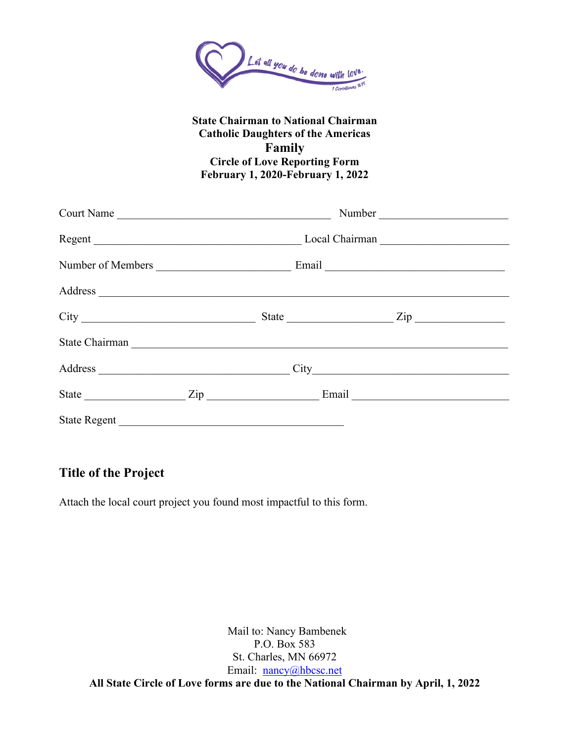

### **State Chairman to National Chairman Catholic Daughters of the Americas Family Circle of Love Reporting Form February 1, 2020-February 1, 2022**

|                     | Court Name |  |                |  |  |  |
|---------------------|------------|--|----------------|--|--|--|
| Regent              |            |  | Local Chairman |  |  |  |
| Number of Members   |            |  | Email          |  |  |  |
|                     |            |  |                |  |  |  |
|                     |            |  |                |  |  |  |
| State Chairman      |            |  |                |  |  |  |
|                     |            |  |                |  |  |  |
|                     |            |  |                |  |  |  |
| <b>State Regent</b> |            |  |                |  |  |  |

## **Title of the Project**

Attach the local court project you found most impactful to this form.

Mail to: Nancy Bambenek P.O. Box 583 St. Charles, MN 66972 Email: [nancy@hbcsc.net](mailto:nancy@hbcsc.net) **All State Circle of Love forms are due to the National Chairman by April, 1, 2022**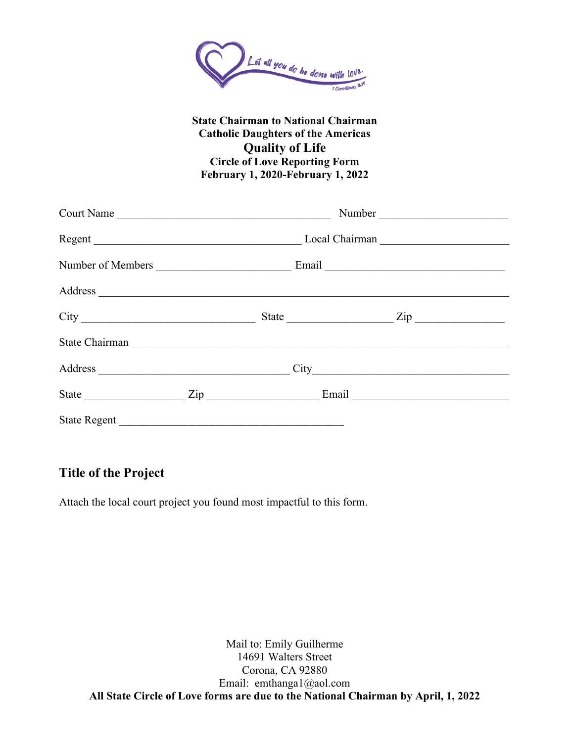

### **State Chairman to National Chairman Catholic Daughters of the Americas Quality of Life Circle of Love Reporting Form February 1, 2020-February 1, 2022**

| Court Name                 |  |       |                |  |
|----------------------------|--|-------|----------------|--|
|                            |  |       | Local Chairman |  |
| Number of Members          |  | Email |                |  |
|                            |  |       |                |  |
|                            |  |       |                |  |
|                            |  |       |                |  |
|                            |  |       |                |  |
| State <u>Zip Zip Email</u> |  |       |                |  |
| <b>State Regent</b>        |  |       |                |  |

## **Title of the Project**

Attach the local court project you found most impactful to this form.

Mail to: Emily Guilherme 14691 Walters Street Corona, CA 92880 Email: emthanga1@aol.com **All State Circle of Love forms are due to the National Chairman by April, 1, 2022**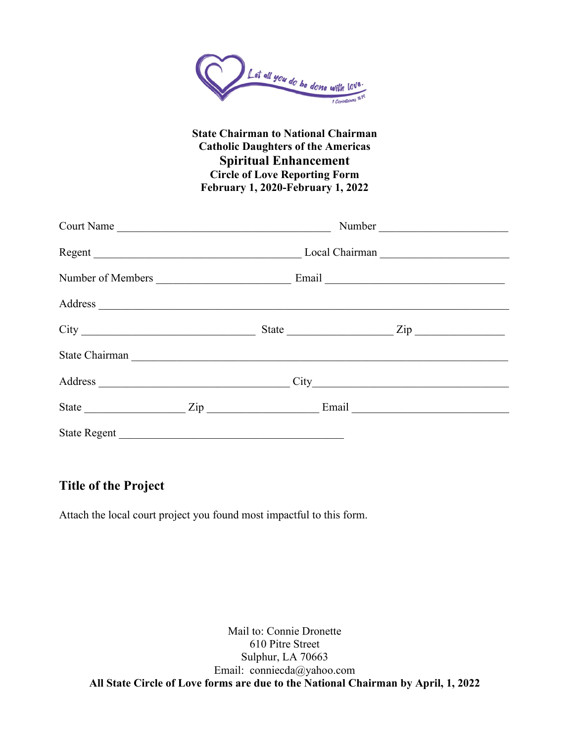

### **State Chairman to National Chairman Catholic Daughters of the Americas Spiritual Enhancement Circle of Love Reporting Form February 1, 2020-February 1, 2022**

| Court Name                                                                                                                                                                                                                    |  |                | Number |                  |
|-------------------------------------------------------------------------------------------------------------------------------------------------------------------------------------------------------------------------------|--|----------------|--------|------------------|
| Regent                                                                                                                                                                                                                        |  | Local Chairman |        |                  |
| Number of Members                                                                                                                                                                                                             |  | Email          |        |                  |
|                                                                                                                                                                                                                               |  |                |        |                  |
|                                                                                                                                                                                                                               |  | State          |        | $\mathsf{Zip}\_$ |
| State Chairman National Chairman National Chairman National Chairman National Chairman National Chairman National Chairman National Chairman National Chairman National Chairman National Chairman National Chairman National |  |                |        |                  |
|                                                                                                                                                                                                                               |  |                |        |                  |
| State <u>Zip</u>                                                                                                                                                                                                              |  |                | Email  |                  |
| <b>State Regent</b>                                                                                                                                                                                                           |  |                |        |                  |

# **Title of the Project**

Attach the local court project you found most impactful to this form.

Mail to: Connie Dronette 610 Pitre Street Sulphur, LA 70663 Email: conniecda@yahoo.com **All State Circle of Love forms are due to the National Chairman by April, 1, 2022**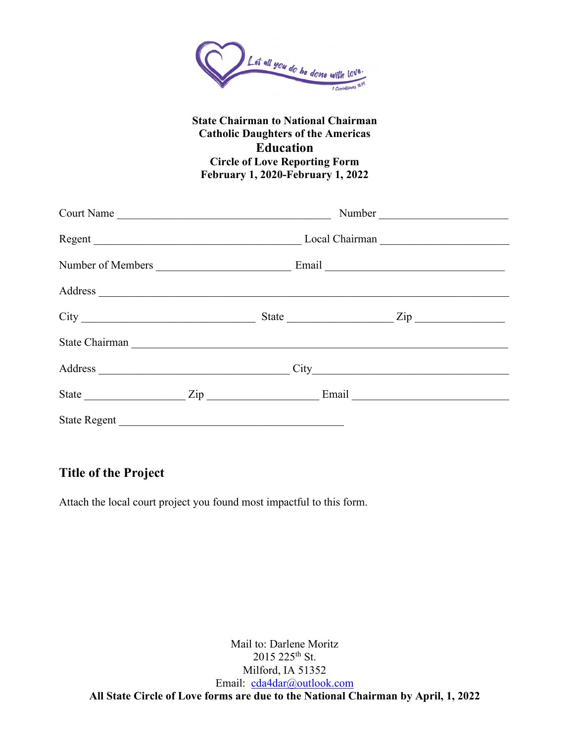

### **State Chairman to National Chairman Catholic Daughters of the Americas Education Circle of Love Reporting Form February 1, 2020-February 1, 2022**

| Court Name          |  |                |  |  |  |
|---------------------|--|----------------|--|--|--|
| Regent              |  | Local Chairman |  |  |  |
| Number of Members   |  | Email          |  |  |  |
|                     |  |                |  |  |  |
|                     |  |                |  |  |  |
| State Chairman      |  |                |  |  |  |
|                     |  |                |  |  |  |
|                     |  |                |  |  |  |
| <b>State Regent</b> |  |                |  |  |  |

## **Title of the Project**

Attach the local court project you found most impactful to this form.

Mail to: Darlene Moritz 2015 225th St. Milford, IA 51352 Email: [cda4dar@outlook.com](mailto:cda4dar@outlook.com) **All State Circle of Love forms are due to the National Chairman by April, 1, 2022**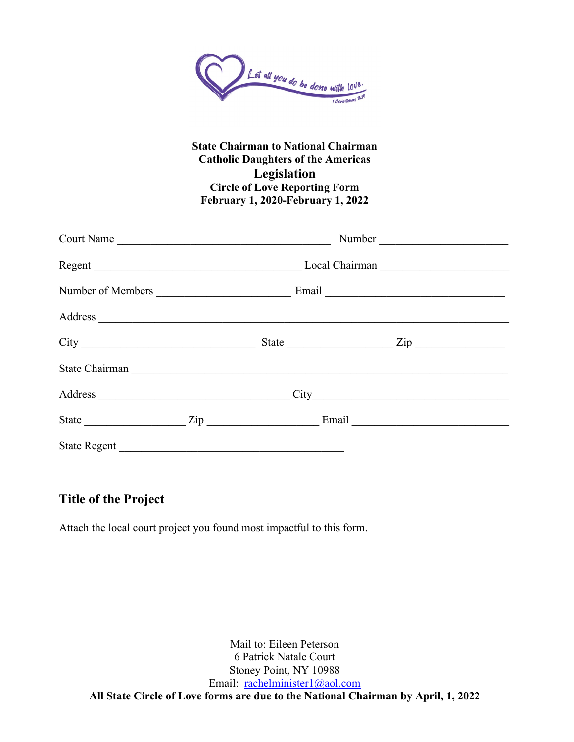

### **State Chairman to National Chairman Catholic Daughters of the Americas Legislation Circle of Love Reporting Form February 1, 2020-February 1, 2022**

| Court Name                                                                                                                                                                                                                    |  |  |       |                  |  |
|-------------------------------------------------------------------------------------------------------------------------------------------------------------------------------------------------------------------------------|--|--|-------|------------------|--|
|                                                                                                                                                                                                                               |  |  |       |                  |  |
| Number of Members                                                                                                                                                                                                             |  |  | Email |                  |  |
|                                                                                                                                                                                                                               |  |  |       |                  |  |
|                                                                                                                                                                                                                               |  |  | State | $\mathsf{Zip}\_$ |  |
| State Chairman National Chairman National Chairman National Chairman National Chairman National Chairman National Chairman National Chairman National Chairman National Chairman National Chairman National Chairman National |  |  |       |                  |  |
|                                                                                                                                                                                                                               |  |  |       |                  |  |
| State Zip                                                                                                                                                                                                                     |  |  |       |                  |  |
| <b>State Regent</b>                                                                                                                                                                                                           |  |  |       |                  |  |

## **Title of the Project**

Attach the local court project you found most impactful to this form.

Mail to: Eileen Peterson 6 Patrick Natale Court Stoney Point, NY 10988 Email: [rachelminister1@aol.com](mailto:rachelminister1@aol.com) **All State Circle of Love forms are due to the National Chairman by April, 1, 2022**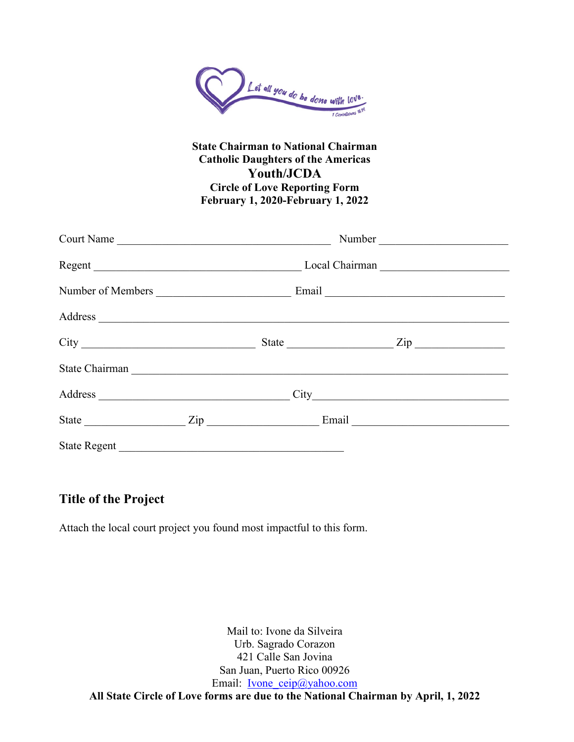

### **State Chairman to National Chairman Catholic Daughters of the Americas Youth/JCDA Circle of Love Reporting Form February 1, 2020-February 1, 2022**

| Court Name                                                                                                                                                                                                                    |                   |  | Number           |  |  |  |
|-------------------------------------------------------------------------------------------------------------------------------------------------------------------------------------------------------------------------------|-------------------|--|------------------|--|--|--|
|                                                                                                                                                                                                                               |                   |  |                  |  |  |  |
|                                                                                                                                                                                                                               | Number of Members |  |                  |  |  |  |
|                                                                                                                                                                                                                               |                   |  |                  |  |  |  |
|                                                                                                                                                                                                                               |                   |  | State <u>Zip</u> |  |  |  |
| State Chairman National Chairman National Chairman National Chairman National Chairman National Chairman National Chairman National Chairman National Chairman National Chairman National Chairman National Chairman National |                   |  |                  |  |  |  |
|                                                                                                                                                                                                                               |                   |  |                  |  |  |  |
|                                                                                                                                                                                                                               |                   |  |                  |  |  |  |
| <b>State Regent</b>                                                                                                                                                                                                           |                   |  |                  |  |  |  |

## **Title of the Project**

Attach the local court project you found most impactful to this form.

Mail to: Ivone da Silveira Urb. Sagrado Corazon 421 Calle San Jovina San Juan, Puerto Rico 00926 Email: <u>[Ivone\\_ceip@yahoo.com](mailto:Ivone_ceip@yahoo.com)</u> **All State Circle of Love forms are due to the National Chairman by April, 1, 2022**